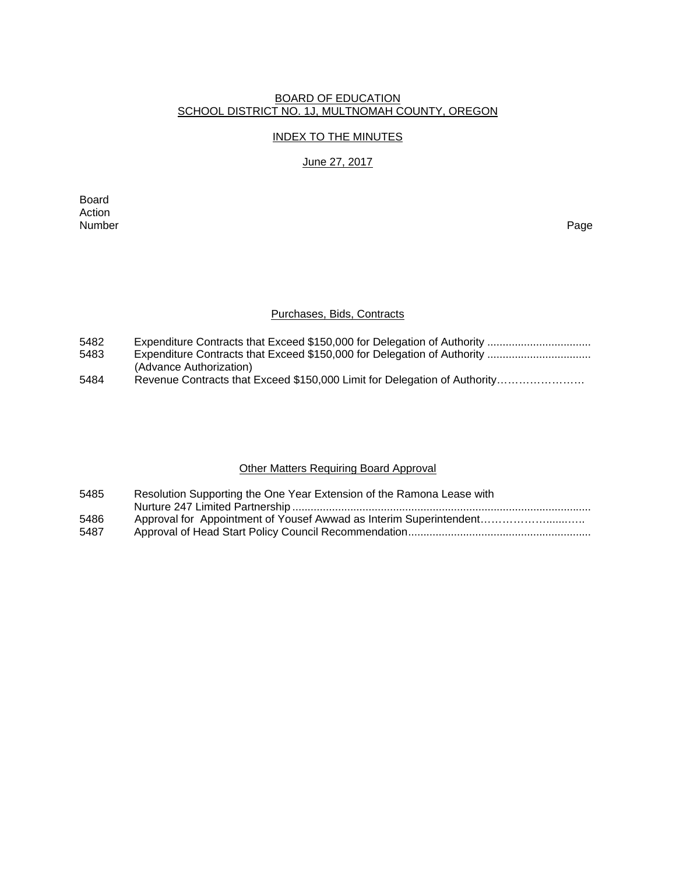#### BOARD OF EDUCATION SCHOOL DISTRICT NO. 1J, MULTNOMAH COUNTY, OREGON

### INDEX TO THE MINUTES

#### June 27, 2017

Board Action<br>Number Number Page

#### Purchases, Bids, Contracts

| 5482 |  |  |  |  |
|------|--|--|--|--|
|      |  |  |  |  |

- 5483 Expenditure Contracts that Exceed \$150,000 for Delegation of Authority ................................. (Advance Authorization)
- 5484 Revenue Contracts that Exceed \$150,000 Limit for Delegation of Authority……………………

### Other Matters Requiring Board Approval

| 5485 | Resolution Supporting the One Year Extension of the Ramona Lease with |
|------|-----------------------------------------------------------------------|
|      |                                                                       |
| 5486 |                                                                       |
| 5487 |                                                                       |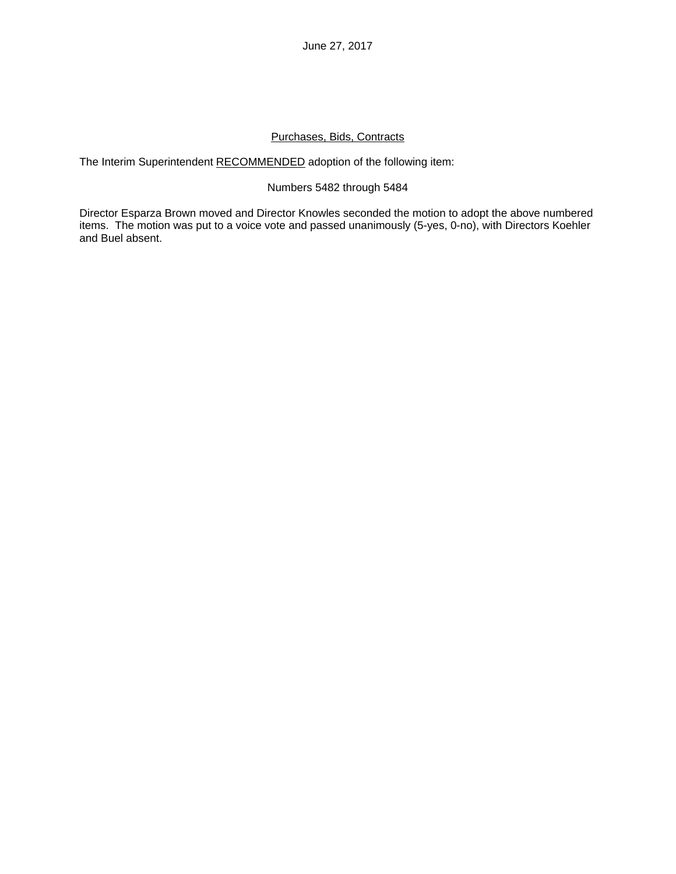June 27, 2017

### Purchases, Bids, Contracts

The Interim Superintendent RECOMMENDED adoption of the following item:

### Numbers 5482 through 5484

Director Esparza Brown moved and Director Knowles seconded the motion to adopt the above numbered items. The motion was put to a voice vote and passed unanimously (5-yes, 0-no), with Directors Koehler and Buel absent.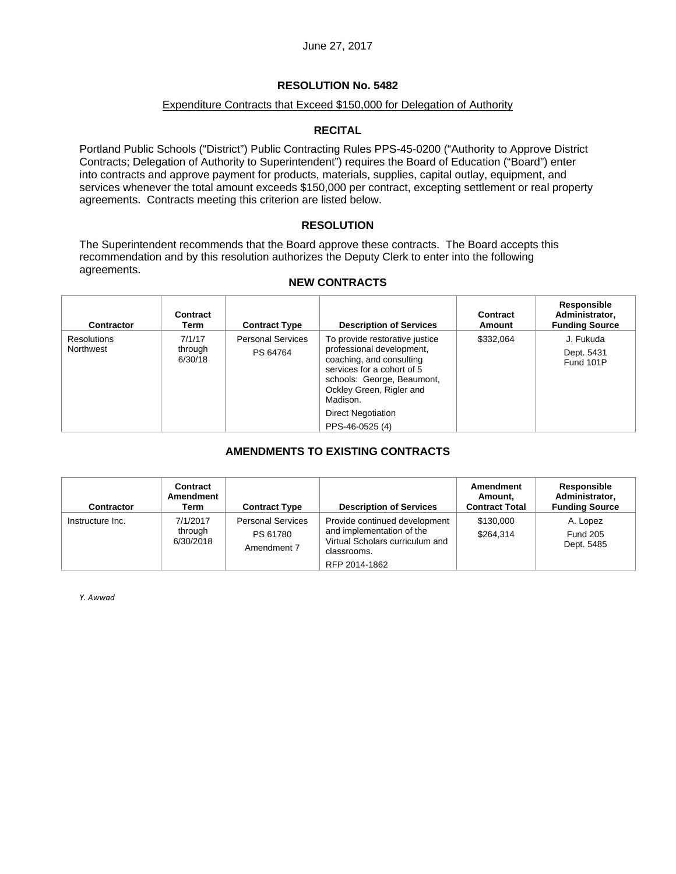### Expenditure Contracts that Exceed \$150,000 for Delegation of Authority

### **RECITAL**

Portland Public Schools ("District") Public Contracting Rules PPS-45-0200 ("Authority to Approve District Contracts; Delegation of Authority to Superintendent") requires the Board of Education ("Board") enter into contracts and approve payment for products, materials, supplies, capital outlay, equipment, and services whenever the total amount exceeds \$150,000 per contract, excepting settlement or real property agreements. Contracts meeting this criterion are listed below.

### **RESOLUTION**

The Superintendent recommends that the Board approve these contracts. The Board accepts this recommendation and by this resolution authorizes the Deputy Clerk to enter into the following agreements.

#### **NEW CONTRACTS**

| <b>Contractor</b>               | Contract<br>Term             | <b>Contract Type</b>                 | <b>Description of Services</b>                                                                                                                                                                                                              | Contract<br>Amount | <b>Responsible</b><br>Administrator,<br><b>Funding Source</b> |
|---------------------------------|------------------------------|--------------------------------------|---------------------------------------------------------------------------------------------------------------------------------------------------------------------------------------------------------------------------------------------|--------------------|---------------------------------------------------------------|
| <b>Resolutions</b><br>Northwest | 7/1/17<br>through<br>6/30/18 | <b>Personal Services</b><br>PS 64764 | To provide restorative justice<br>professional development,<br>coaching, and consulting<br>services for a cohort of 5<br>schools: George, Beaumont,<br>Ockley Green, Rigler and<br>Madison.<br><b>Direct Negotiation</b><br>PPS-46-0525 (4) | \$332,064          | J. Fukuda<br>Dept. 5431<br>Fund 101P                          |

# **AMENDMENTS TO EXISTING CONTRACTS**

| <b>Contractor</b> | Contract<br>Amendment<br>Term    | <b>Contract Type</b>                                | <b>Description of Services</b>                                                                                                | Amendment<br>Amount,<br><b>Contract Total</b> | Responsible<br>Administrator,<br><b>Funding Source</b> |
|-------------------|----------------------------------|-----------------------------------------------------|-------------------------------------------------------------------------------------------------------------------------------|-----------------------------------------------|--------------------------------------------------------|
| Instructure Inc.  | 7/1/2017<br>through<br>6/30/2018 | <b>Personal Services</b><br>PS 61780<br>Amendment 7 | Provide continued development<br>and implementation of the<br>Virtual Scholars curriculum and<br>classrooms.<br>RFP 2014-1862 | \$130,000<br>\$264.314                        | A. Lopez<br><b>Fund 205</b><br>Dept. 5485              |

*Y. Awwad*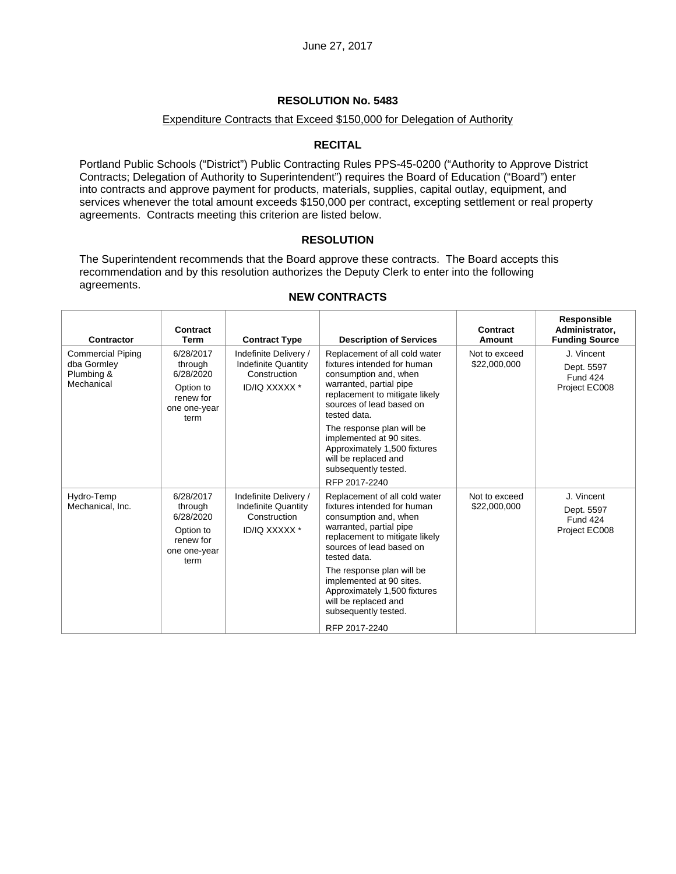#### Expenditure Contracts that Exceed \$150,000 for Delegation of Authority

### **RECITAL**

Portland Public Schools ("District") Public Contracting Rules PPS-45-0200 ("Authority to Approve District Contracts; Delegation of Authority to Superintendent") requires the Board of Education ("Board") enter into contracts and approve payment for products, materials, supplies, capital outlay, equipment, and services whenever the total amount exceeds \$150,000 per contract, excepting settlement or real property agreements. Contracts meeting this criterion are listed below.

### **RESOLUTION**

The Superintendent recommends that the Board approve these contracts. The Board accepts this recommendation and by this resolution authorizes the Deputy Clerk to enter into the following agreements.

 $\top$ 

f

| <b>Contractor</b>                                                   | Contract<br><b>Term</b>                                                             | <b>Contract Type</b>                                                                        | <b>Description of Services</b>                                                                                                                                                                                                                                                                                                                           | Contract<br><b>Amount</b>     | Responsible<br>Administrator.<br><b>Funding Source</b>       |
|---------------------------------------------------------------------|-------------------------------------------------------------------------------------|---------------------------------------------------------------------------------------------|----------------------------------------------------------------------------------------------------------------------------------------------------------------------------------------------------------------------------------------------------------------------------------------------------------------------------------------------------------|-------------------------------|--------------------------------------------------------------|
| <b>Commercial Piping</b><br>dba Gormley<br>Plumbing &<br>Mechanical | 6/28/2017<br>through<br>6/28/2020<br>Option to<br>renew for<br>one one-year<br>term | Indefinite Delivery /<br><b>Indefinite Quantity</b><br>Construction<br>ID/IQ XXXXX *        | Replacement of all cold water<br>fixtures intended for human<br>consumption and, when<br>warranted, partial pipe<br>replacement to mitigate likely<br>sources of lead based on<br>tested data.<br>The response plan will be<br>implemented at 90 sites.<br>Approximately 1,500 fixtures<br>will be replaced and<br>subsequently tested.<br>RFP 2017-2240 | Not to exceed<br>\$22,000,000 | J. Vincent<br>Dept. 5597<br><b>Fund 424</b><br>Project EC008 |
| Hydro-Temp<br>Mechanical, Inc.                                      | 6/28/2017<br>through<br>6/28/2020<br>Option to<br>renew for<br>one one-year<br>term | Indefinite Delivery /<br><b>Indefinite Quantity</b><br>Construction<br><b>ID/IQ XXXXX *</b> | Replacement of all cold water<br>fixtures intended for human<br>consumption and, when<br>warranted, partial pipe<br>replacement to mitigate likely<br>sources of lead based on<br>tested data.<br>The response plan will be<br>implemented at 90 sites.<br>Approximately 1,500 fixtures<br>will be replaced and<br>subsequently tested.<br>RFP 2017-2240 | Not to exceed<br>\$22,000,000 | J. Vincent<br>Dept. 5597<br><b>Fund 424</b><br>Project EC008 |

#### **NEW CONTRACTS**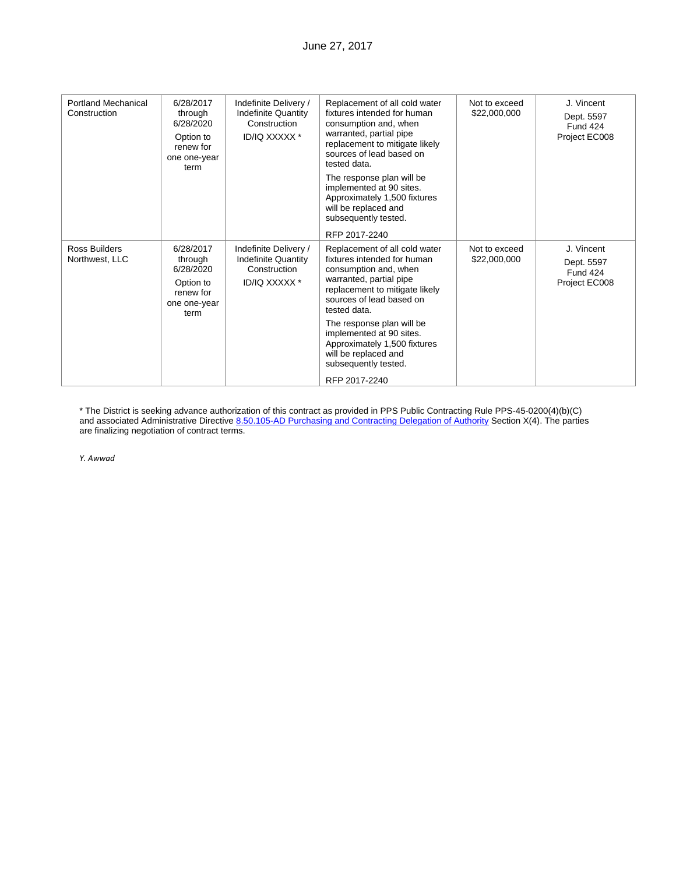| <b>Portland Mechanical</b><br>Construction | 6/28/2017<br>through<br>6/28/2020<br>Option to<br>renew for<br>one one-year<br>term | Indefinite Delivery /<br><b>Indefinite Quantity</b><br>Construction<br>ID/IQ XXXXX * | Replacement of all cold water<br>fixtures intended for human<br>consumption and, when<br>warranted, partial pipe<br>replacement to mitigate likely<br>sources of lead based on<br>tested data.<br>The response plan will be<br>implemented at 90 sites.<br>Approximately 1,500 fixtures<br>will be replaced and<br>subsequently tested.<br>RFP 2017-2240 | Not to exceed<br>\$22,000,000 | J. Vincent<br>Dept. 5597<br><b>Fund 424</b><br>Project EC008 |
|--------------------------------------------|-------------------------------------------------------------------------------------|--------------------------------------------------------------------------------------|----------------------------------------------------------------------------------------------------------------------------------------------------------------------------------------------------------------------------------------------------------------------------------------------------------------------------------------------------------|-------------------------------|--------------------------------------------------------------|
| Ross Builders<br>Northwest, LLC            | 6/28/2017<br>through<br>6/28/2020<br>Option to<br>renew for<br>one one-year<br>term | Indefinite Delivery /<br><b>Indefinite Quantity</b><br>Construction<br>ID/IQ XXXXX * | Replacement of all cold water<br>fixtures intended for human<br>consumption and, when<br>warranted, partial pipe<br>replacement to mitigate likely<br>sources of lead based on<br>tested data.<br>The response plan will be<br>implemented at 90 sites.<br>Approximately 1,500 fixtures<br>will be replaced and<br>subsequently tested.<br>RFP 2017-2240 | Not to exceed<br>\$22,000,000 | J. Vincent<br>Dept. 5597<br>Fund 424<br>Project EC008        |

\* The District is seeking advance authorization of this contract as provided in PPS Public Contracting Rule PPS-45-0200(4)(b)(C) and associated Administrative Directive 8.50.105-AD Purchasing and Contracting Delegation of Authority Section X(4). The parties are finalizing negotiation of contract terms.

*Y. Awwad*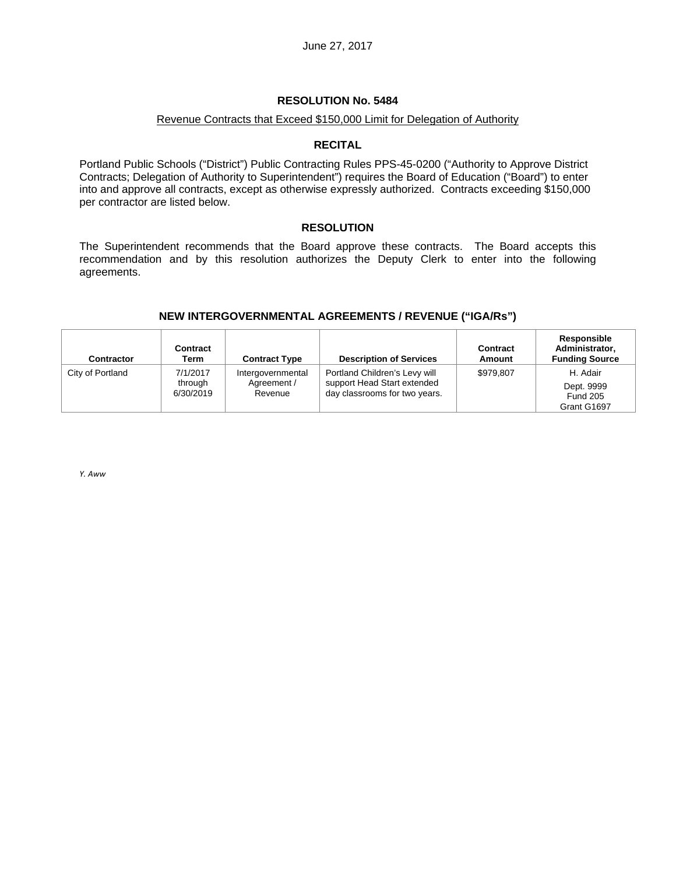#### Revenue Contracts that Exceed \$150,000 Limit for Delegation of Authority

#### **RECITAL**

Portland Public Schools ("District") Public Contracting Rules PPS-45-0200 ("Authority to Approve District Contracts; Delegation of Authority to Superintendent") requires the Board of Education ("Board") to enter into and approve all contracts, except as otherwise expressly authorized. Contracts exceeding \$150,000 per contractor are listed below.

#### **RESOLUTION**

The Superintendent recommends that the Board approve these contracts. The Board accepts this recommendation and by this resolution authorizes the Deputy Clerk to enter into the following agreements.

## **NEW INTERGOVERNMENTAL AGREEMENTS / REVENUE ("IGA/Rs")**

| Contractor       | Contract<br>Term                 | <b>Contract Type</b>                        | <b>Description of Services</b>                                                                | <b>Contract</b><br>Amount | Responsible<br>Administrator,<br><b>Funding Source</b>   |
|------------------|----------------------------------|---------------------------------------------|-----------------------------------------------------------------------------------------------|---------------------------|----------------------------------------------------------|
| City of Portland | 7/1/2017<br>through<br>6/30/2019 | Intergovernmental<br>Agreement /<br>Revenue | Portland Children's Levy will<br>support Head Start extended<br>day classrooms for two years. | \$979.807                 | H. Adair<br>Dept. 9999<br><b>Fund 205</b><br>Grant G1697 |

*Y. Aww*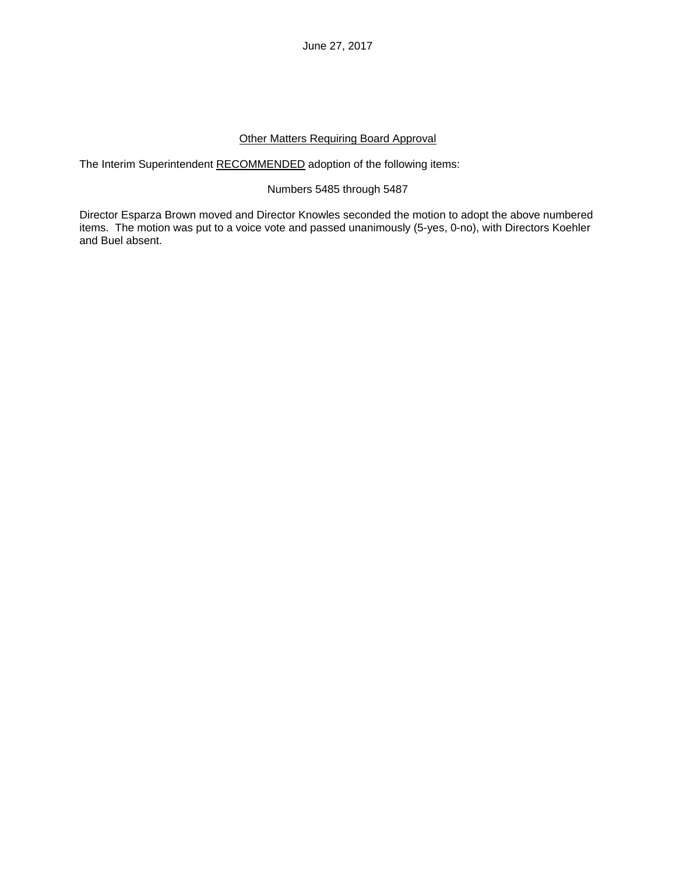June 27, 2017

### Other Matters Requiring Board Approval

The Interim Superintendent RECOMMENDED adoption of the following items:

### Numbers 5485 through 5487

Director Esparza Brown moved and Director Knowles seconded the motion to adopt the above numbered items. The motion was put to a voice vote and passed unanimously (5-yes, 0-no), with Directors Koehler and Buel absent.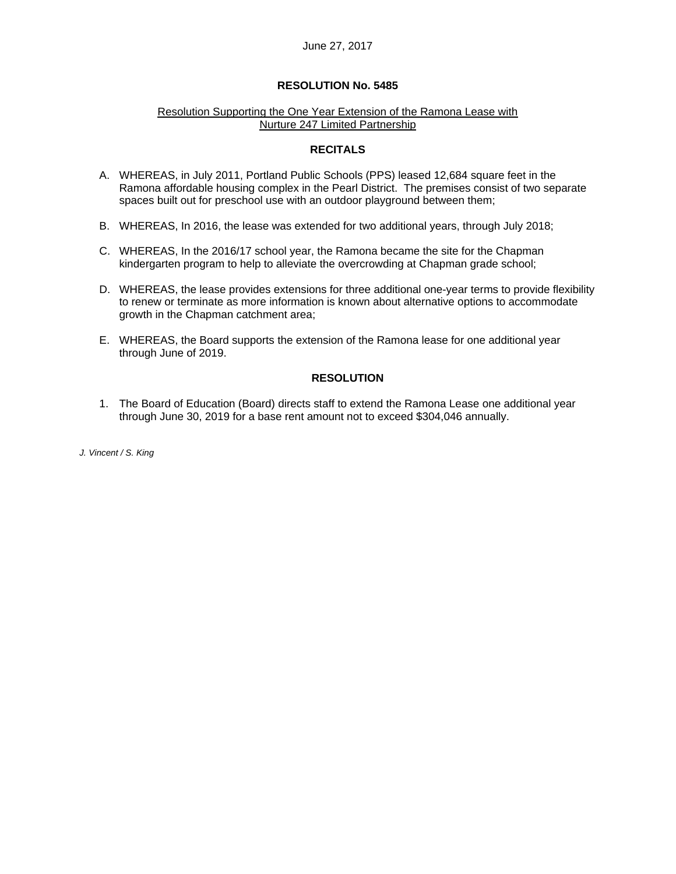#### June 27, 2017

#### **RESOLUTION No. 5485**

#### Resolution Supporting the One Year Extension of the Ramona Lease with Nurture 247 Limited Partnership

#### **RECITALS**

- A. WHEREAS, in July 2011, Portland Public Schools (PPS) leased 12,684 square feet in the Ramona affordable housing complex in the Pearl District. The premises consist of two separate spaces built out for preschool use with an outdoor playground between them;
- B. WHEREAS, In 2016, the lease was extended for two additional years, through July 2018;
- C. WHEREAS, In the 2016/17 school year, the Ramona became the site for the Chapman kindergarten program to help to alleviate the overcrowding at Chapman grade school;
- D. WHEREAS, the lease provides extensions for three additional one-year terms to provide flexibility to renew or terminate as more information is known about alternative options to accommodate growth in the Chapman catchment area;
- E. WHEREAS, the Board supports the extension of the Ramona lease for one additional year through June of 2019.

#### **RESOLUTION**

1. The Board of Education (Board) directs staff to extend the Ramona Lease one additional year through June 30, 2019 for a base rent amount not to exceed \$304,046 annually.

*J. Vincent / S. King*